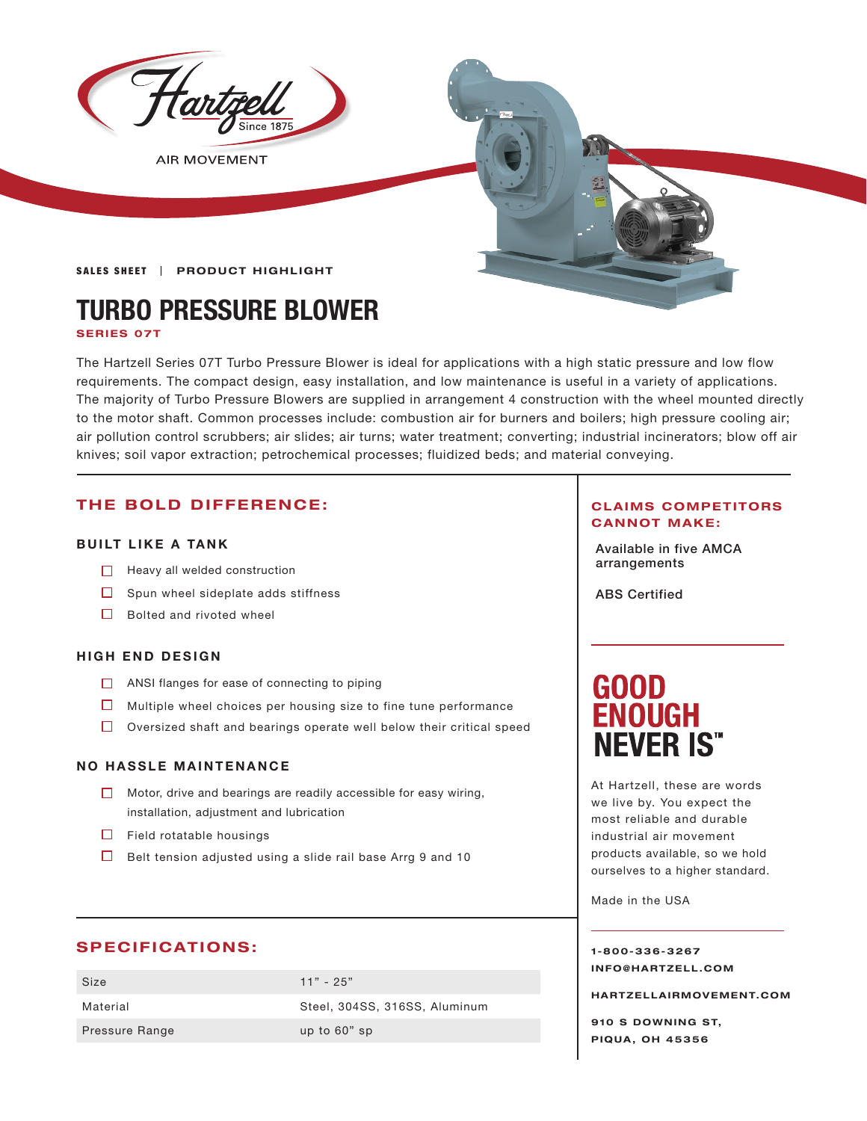

**AIR MOVEMENT** 

#### **SALES SHEET | PRODUCT HIGHLIGHT**

# **TURBO PRESSURE BLOWER**

**SERIES 07T**

The Hartzell Series 07T Turbo Pressure Blower is ideal for applications with a high static pressure and low flow requirements. The compact design, easy installation, and low maintenance is useful in a variety of applications. The majority of Turbo Pressure Blowers are supplied in arrangement 4 construction with the wheel mounted directly to the motor shaft. Common processes include: combustion air for burners and boilers; high pressure cooling air; air pollution control scrubbers; air slides; air turns; water treatment; converting; industrial incinerators; blow off air knives; soil vapor extraction; petrochemical processes; fluidized beds; and material conveying.

### **THE BOLD DIFFERENCE:**

#### **BUILT LIKE A TANK**

- **a** Heavy all welded construction **All arrangements Heavy all welded** construction
- $\Box$  Spun wheel sideplate adds stiffness
- $\Box$  Bolted and rivoted wheel

#### **HIGH END DESIGN**

- ANSI flanges for ease of connecting to piping
- $\Box$  Multiple wheel choices per housing size to fine tune performance
- $\Box$  Oversized shaft and bearings operate well below their critical speed

#### **NO HASSLE MAINTENANCE**

- Motor, drive and bearings are readily accessible for easy wiring, installation, adjustment and lubrication
- $\Box$  Field rotatable housings
- $\Box$  Belt tension adjusted using a slide rail base Arrg 9 and 10

#### **SPECIFICATIONS:**

Size 11" - 25" Pressure Range up to 60" sp

Material Steel, 304SS, 316SS, Aluminum

#### **CLAIMS COMPETITORS CANNOT MAKE:**

Available in five AMCA

ABS Certified

# **GOOD<br>ENOUGH NEVER IS"**

At Hartzell, these are words we live by. You expect the most reliable and durable industrial air movement products available, so we hold ourselves to a higher standard.

Made in the USA

**1-800-336-3267 I N F O @ H A R T Z E L L . C OM** 

**HARTZELLA IRMOVEMENT.COM**

**910 S DOWNING ST, PIQUA, OH 45356**